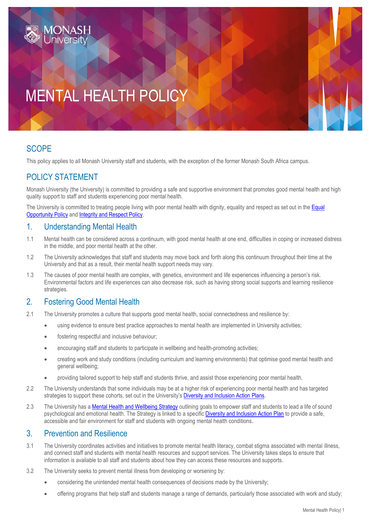# MENTAL HEALTH POLICY

## **SCOPE**

This policy applies to all Monash University staff and students, with the exception of the former Monash South Africa campus.

# POLICY STATEMENT

Monash University (the University) is committed to providing a safe and supportive environment that promotes good mental health and high quality support to staff and students experiencing poor mental health.

The University is committed to treating people living with poor mental health with dignity, equality and respect as set out in the Equal [Opportunity Policy](https://publicpolicydms.monash.edu/Monash/documents/1935682) an[d Integrity and Respect Policy.](https://publicpolicydms.monash.edu/Monash/documents/1935702)

#### 1. Understanding Mental Health

- 1.1 Mental health can be considered across a continuum, with good mental health at one end, difficulties in coping or increased distress in the middle, and poor mental health at the other.
- 1.2 The University acknowledges that staff and students may move back and forth along this continuum throughout their time at the University and that as a result, their mental health support needs may vary.
- 1.3 The causes of poor mental health are complex, with genetics, environment and life experiences influencing a person's risk. Environmental factors and life experiences can also decrease risk, such as having strong social supports and learning resilience strategies.

## 2. Fostering Good Mental Health

- 2.1 The University promotes a culture that supports good mental health, social connectedness and resilience by:
	- using evidence to ensure best practice approaches to mental health are implemented in University activities;
	- fostering respectful and inclusive behaviour;
	- encouraging staff and students to participate in wellbeing and health-promoting activities;
	- creating work and study conditions (including curriculum and learning environments) that optimise good mental health and general wellbeing;
	- providing tailored support to help staff and students thrive, and assist those experiencing poor mental health.
- 2.2 The University understands that some individuals may be at a higher risk of experiencing poor mental health and has targeted strategies to support these cohorts, set out in the University's **Diversity and Inclusion Action Plans**.
- 2.3 The University has a [Mental Health and Wellbeing Strategy](https://www.monash.edu/about/diversity-inclusion/framework-and-priority-areas/mental-health-and-wellbeing-strategy) outlining goals to empower staff and students to lead a life of sound psychological and emotional health. The Strategy is linked to a specific [Diversity and Inclusion Action Plan](https://www.monash.edu/__data/assets/pdf_file/0007/1710286/DMMH-action-plan.pdf) to provide a safe, accessible and fair environment for staff and students with ongoing mental health conditions.

#### 3. Prevention and Resilience

- 3.1 The University coordinates activities and initiatives to promote mental health literacy, combat stigma associated with mental illness, and connect staff and students with mental health resources and support services. The University takes steps to ensure that information is available to all staff and students about how they can access these resources and supports.
- 3.2 The University seeks to prevent mental illness from developing or worsening by:
	- considering the unintended mental health consequences of decisions made by the University;
	- offering programs that help staff and students manage a range of demands, particularly those associated with work and study;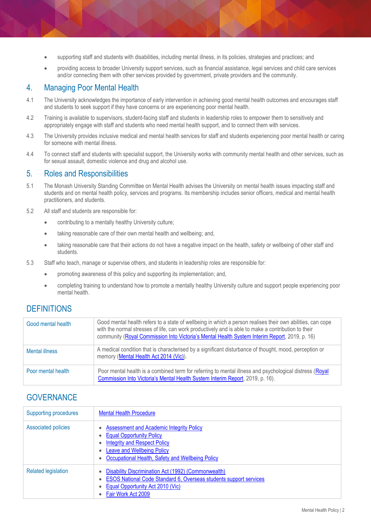- supporting staff and students with disabilities, including mental illness, in its policies, strategies and practices; and
- providing access to broader University support services, such as financial assistance, legal services and child care services and/or connecting them with other services provided by government, private providers and the community.

## 4. Managing Poor Mental Health

- 4.1 The University acknowledges the importance of early intervention in achieving good mental health outcomes and encourages staff and students to seek support if they have concerns or are experiencing poor mental health.
- 4.2 Training is available to supervisors, student-facing staff and students in leadership roles to empower them to sensitively and appropriately engage with staff and students who need mental health support, and to connect them with services.
- 4.3 The University provides inclusive medical and mental health services for staff and students experiencing poor mental health or caring for someone with mental illness.
- 4.4 To connect staff and students with specialist support, the University works with community mental health and other services, such as for sexual assault, domestic violence and drug and alcohol use.

#### 5. Roles and Responsibilities

- 5.1 The Monash University Standing Committee on Mental Health advises the University on mental health issues impacting staff and students and on mental health policy, services and programs. Its membership includes senior officers, medical and mental health practitioners, and students.
- 5.2 All staff and students are responsible for:
	- contributing to a mentally healthy University culture;
	- taking reasonable care of their own mental health and wellbeing; and,
	- taking reasonable care that their actions do not have a negative impact on the health, safety or wellbeing of other staff and students.
- 5.3 Staff who teach, manage or supervise others, and students in leadership roles are responsible for:
	- promoting awareness of this policy and supporting its implementation; and,
	- completing training to understand how to promote a mentally healthy University culture and support people experiencing poor mental health.

## **DEFINITIONS**

| Good mental health    | Good mental health refers to a state of wellbeing in which a person realises their own abilities, can cope<br>with the normal stresses of life, can work productively and is able to make a contribution to their<br>community (Royal Commission Into Victoria's Mental Health System Interim Report, 2019, p. 16) |
|-----------------------|--------------------------------------------------------------------------------------------------------------------------------------------------------------------------------------------------------------------------------------------------------------------------------------------------------------------|
| <b>Mental illness</b> | A medical condition that is characterised by a significant disturbance of thought, mood, perception or<br>memory (Mental Health Act 2014 (Vic)).                                                                                                                                                                   |
| Poor mental health    | Poor mental health is a combined term for referring to mental illness and psychological distress (Royal<br>Commission Into Victoria's Mental Health System Interim Report, 2019, p. 16).                                                                                                                           |

## **GOVERNANCE**

| <b>Supporting procedures</b> | <b>Mental Health Procedure</b>                                                                                                                                                                                     |
|------------------------------|--------------------------------------------------------------------------------------------------------------------------------------------------------------------------------------------------------------------|
| <b>Associated policies</b>   | <b>Assessment and Academic Integrity Policy</b><br><b>Equal Opportunity Policy</b><br><b>Integrity and Respect Policy</b><br><b>Leave and Wellbeing Policy</b><br>Occupational Health, Safety and Wellbeing Policy |
| <b>Related legislation</b>   | Disability Discrimination Act (1992) (Commonwealth)<br>ESOS National Code Standard 6, Overseas students support services<br><b>Equal Opportunity Act 2010 (Vic)</b><br>Fair Work Act 2009                          |